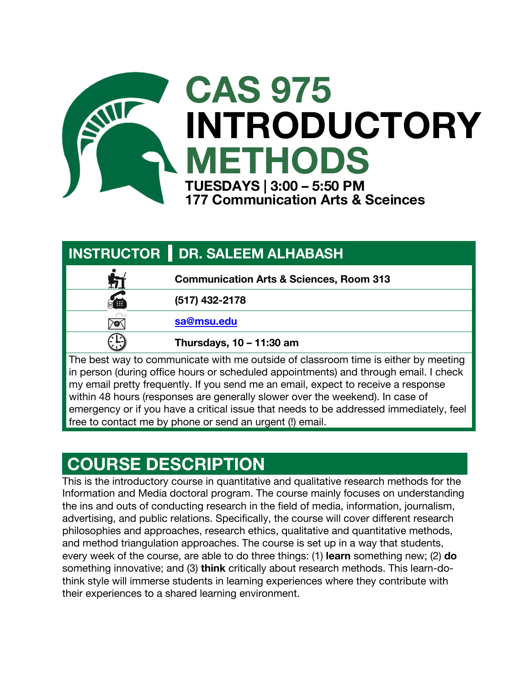

| <b>INSTRUCTOR   DR. SALEEM ALHABASH</b>                                                                                                                                                                                                                                                                                                          |  |  |
|--------------------------------------------------------------------------------------------------------------------------------------------------------------------------------------------------------------------------------------------------------------------------------------------------------------------------------------------------|--|--|
| <b>Communication Arts &amp; Sciences, Room 313</b>                                                                                                                                                                                                                                                                                               |  |  |
| <b>SEE</b><br>(517) 432-2178                                                                                                                                                                                                                                                                                                                     |  |  |
| sa@msu.edu<br>yo,                                                                                                                                                                                                                                                                                                                                |  |  |
| Thursdays, 10 - 11:30 am                                                                                                                                                                                                                                                                                                                         |  |  |
| The best way to communicate with me outside of classroom time is either by meeting<br>in person (during office hours or scheduled appointments) and through email. I check<br>my email pretty frequently. If you send me an email, expect to receive a response<br>within 48 hours (responses are generally slower over the weekend). In case of |  |  |
| emergency or if you have a critical issue that needs to be addressed immediately, feel                                                                                                                                                                                                                                                           |  |  |

free to contact me by phone or send an urgent (!) email.

### **COURSE DESCRIPTION**

This is the introductory course in quantitative and qualitative research methods for the Information and Media doctoral program. The course mainly focuses on understanding the ins and outs of conducting research in the field of media, information, journalism, advertising, and public relations. Specifically, the course will cover different research philosophies and approaches, research ethics, qualitative and quantitative methods, and method triangulation approaches. The course is set up in a way that students, every week of the course, are able to do three things: (1) **learn** something new; (2) **do** something innovative; and (3) **think** critically about research methods. This learn-dothink style will immerse students in learning experiences where they contribute with their experiences to a shared learning environment.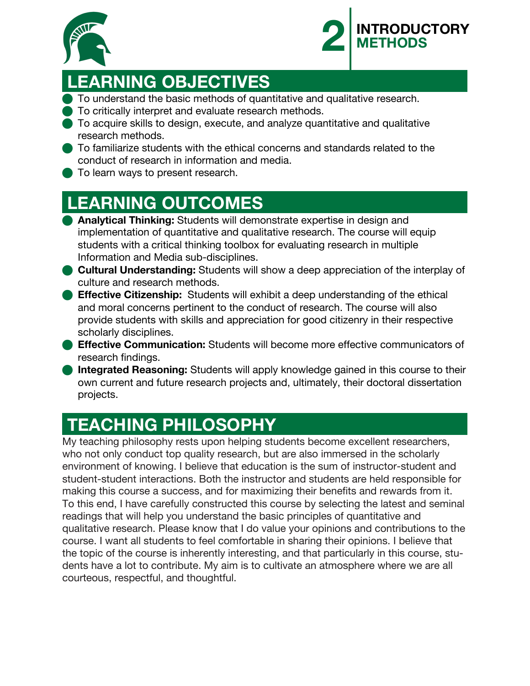



## **LEARNING OBJECTIVES**

- **To understand the basic methods of quantitative and qualitative research.**
- **n** To critically interpret and evaluate research methods.
- n To acquire skills to design, execute, and analyze quantitative and qualitative research methods.
- **n** To familiarize students with the ethical concerns and standards related to the conduct of research in information and media.
- **To learn ways to present research.**

## **LEARNING OUTCOMES**

- **Analytical Thinking:** Students will demonstrate expertise in design and implementation of quantitative and qualitative research. The course will equip students with a critical thinking toolbox for evaluating research in multiple Information and Media sub-disciplines.
- **Cultural Understanding:** Students will show a deep appreciation of the interplay of culture and research methods.
- **Effective Citizenship:** Students will exhibit a deep understanding of the ethical and moral concerns pertinent to the conduct of research. The course will also provide students with skills and appreciation for good citizenry in their respective scholarly disciplines.
- **Effective Communication:** Students will become more effective communicators of research findings.
- **n Integrated Reasoning:** Students will apply knowledge gained in this course to their own current and future research projects and, ultimately, their doctoral dissertation projects.

## **TEACHING PHILOSOPHY**

My teaching philosophy rests upon helping students become excellent researchers, who not only conduct top quality research, but are also immersed in the scholarly environment of knowing. I believe that education is the sum of instructor-student and student-student interactions. Both the instructor and students are held responsible for making this course a success, and for maximizing their benefits and rewards from it. To this end, I have carefully constructed this course by selecting the latest and seminal readings that will help you understand the basic principles of quantitative and qualitative research. Please know that I do value your opinions and contributions to the course. I want all students to feel comfortable in sharing their opinions. I believe that the topic of the course is inherently interesting, and that particularly in this course, students have a lot to contribute. My aim is to cultivate an atmosphere where we are all courteous, respectful, and thoughtful.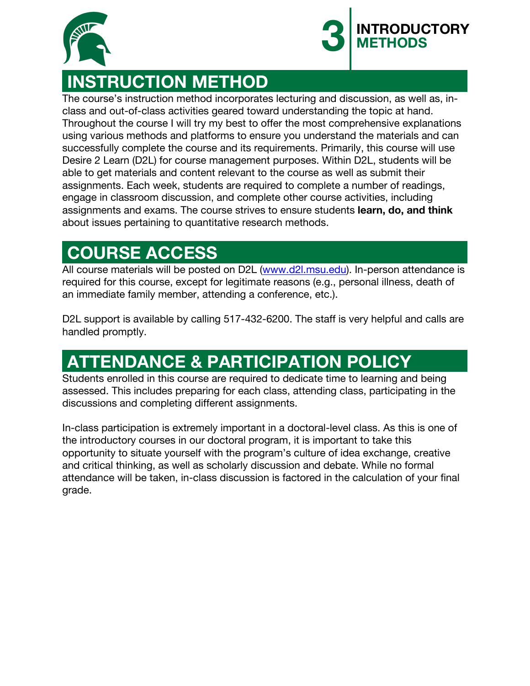



### **INSTRUCTION METHOD**

The course's instruction method incorporates lecturing and discussion, as well as, inclass and out-of-class activities geared toward understanding the topic at hand. Throughout the course I will try my best to offer the most comprehensive explanations using various methods and platforms to ensure you understand the materials and can successfully complete the course and its requirements. Primarily, this course will use Desire 2 Learn (D2L) for course management purposes. Within D2L, students will be able to get materials and content relevant to the course as well as submit their assignments. Each week, students are required to complete a number of readings, engage in classroom discussion, and complete other course activities, including assignments and exams. The course strives to ensure students **learn, do, and think** about issues pertaining to quantitative research methods.

### **COURSE ACCESS**

All course materials will be posted on D2L (www.d2l.msu.edu). In-person attendance is required for this course, except for legitimate reasons (e.g., personal illness, death of an immediate family member, attending a conference, etc.).

D2L support is available by calling 517-432-6200. The staff is very helpful and calls are handled promptly.

## **ATTENDANCE & PARTICIPATION POLICY**

Students enrolled in this course are required to dedicate time to learning and being assessed. This includes preparing for each class, attending class, participating in the discussions and completing different assignments.

In-class participation is extremely important in a doctoral-level class. As this is one of the introductory courses in our doctoral program, it is important to take this opportunity to situate yourself with the program's culture of idea exchange, creative and critical thinking, as well as scholarly discussion and debate. While no formal attendance will be taken, in-class discussion is factored in the calculation of your final grade.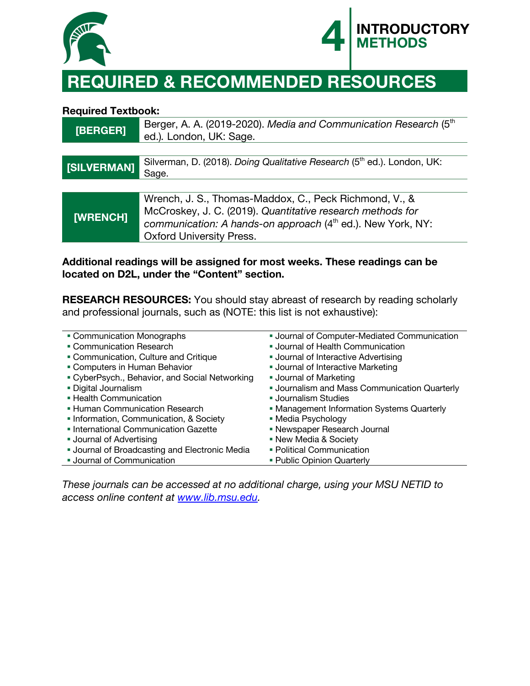



## **REQUIRED & RECOMMENDED RESOURCES**

#### **Required Textbook:**

| [BERGER]    | Berger, A. A. (2019-2020). Media and Communication Research (5th<br>ed.). London, UK: Sage.                                                                                                                                        |
|-------------|------------------------------------------------------------------------------------------------------------------------------------------------------------------------------------------------------------------------------------|
|             |                                                                                                                                                                                                                                    |
| [SILVERMAN] | Silverman, D. (2018). Doing Qualitative Research (5th ed.). London, UK:<br>Sage.                                                                                                                                                   |
|             |                                                                                                                                                                                                                                    |
| [WRENCH]    | Wrench, J. S., Thomas-Maddox, C., Peck Richmond, V., &<br>McCroskey, J. C. (2019). Quantitative research methods for<br>communication: A hands-on approach (4 <sup>th</sup> ed.). New York, NY:<br><b>Oxford University Press.</b> |

#### **Additional readings will be assigned for most weeks. These readings can be located on D2L, under the "Content" section.**

**RESEARCH RESOURCES:** You should stay abreast of research by reading scholarly and professional journals, such as (NOTE: this list is not exhaustive):

| • Communication Monographs                          | <b>Journal of Computer-Mediated Communication</b>    |
|-----------------------------------------------------|------------------------------------------------------|
| • Communication Research                            | <b>Journal of Health Communication</b>               |
| • Communication, Culture and Critique               | <b>Journal of Interactive Advertising</b>            |
| • Computers in Human Behavior                       | <b>Journal of Interactive Marketing</b>              |
| • CyberPsych., Behavior, and Social Networking      | <b>Journal of Marketing</b>                          |
| • Digital Journalism                                | <b>- Journalism and Mass Communication Quarterly</b> |
| - Health Communication                              | <b>Journalism Studies</b>                            |
| <b>- Human Communication Research</b>               | • Management Information Systems Quarterly           |
| • Information, Communication, & Society             | • Media Psychology                                   |
| • International Communication Gazette               | • Newspaper Research Journal                         |
| <b>Journal of Advertising</b>                       | • New Media & Society                                |
| <b>Journal of Broadcasting and Electronic Media</b> | • Political Communication                            |
| <b>Journal of Communication</b>                     | • Public Opinion Quarterly                           |
|                                                     |                                                      |

*These journals can be accessed at no additional charge, using your MSU NETID to access online content at www.lib.msu.edu.*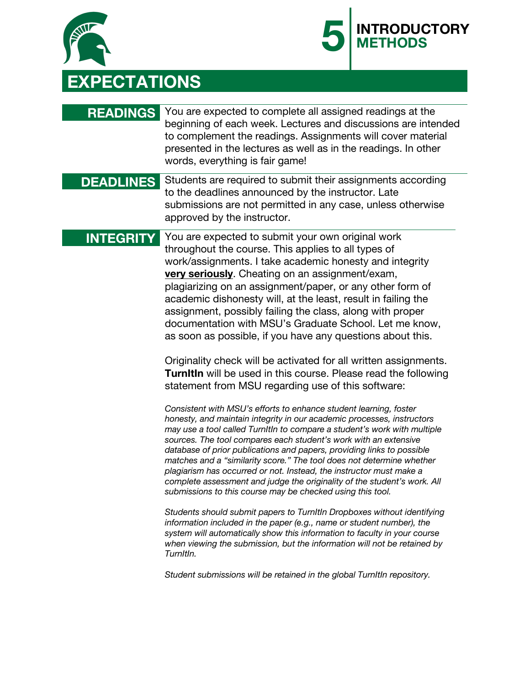



### **READINGS** You are expected to complete all assigned readings at the beginning of each week. Lectures and discussions are intended to complement the readings. Assignments will cover material presented in the lectures as well as in the readings. In other words, everything is fair game!

#### **DEADLINES** Students are required to submit their assignments according to the deadlines announced by the instructor. Late submissions are not permitted in any case, unless otherwise approved by the instructor.

**INTEGRITY** You are expected to submit your own original work throughout the course. This applies to all types of work/assignments. I take academic honesty and integrity **very seriously**. Cheating on an assignment/exam, plagiarizing on an assignment/paper, or any other form of academic dishonesty will, at the least, result in failing the assignment, possibly failing the class, along with proper documentation with MSU's Graduate School. Let me know, as soon as possible, if you have any questions about this.

> Originality check will be activated for all written assignments. **TurnItIn** will be used in this course. Please read the following statement from MSU regarding use of this software:

*Consistent with MSU's efforts to enhance student learning, foster honesty, and maintain integrity in our academic processes, instructors may use a tool called TurnItIn to compare a student's work with multiple sources. The tool compares each student's work with an extensive database of prior publications and papers, providing links to possible matches and a "similarity score." The tool does not determine whether plagiarism has occurred or not. Instead, the instructor must make a complete assessment and judge the originality of the student's work. All submissions to this course may be checked using this tool.*

*Students should submit papers to TurnItIn Dropboxes without identifying information included in the paper (e.g., name or student number), the system will automatically show this information to faculty in your course when viewing the submission, but the information will not be retained by TurnItIn.*

*Student submissions will be retained in the global TurnItIn repository.*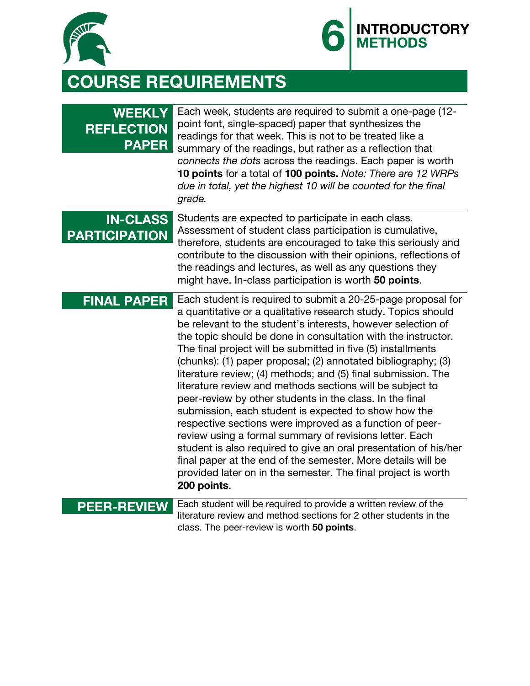



# **COURSE REQUIREMENTS**

| <b>WEEKLY</b><br><b>REFLECTION</b><br><b>PAPER</b> | Each week, students are required to submit a one-page (12-<br>point font, single-spaced) paper that synthesizes the<br>readings for that week. This is not to be treated like a<br>summary of the readings, but rather as a reflection that<br>connects the dots across the readings. Each paper is worth<br>10 points for a total of 100 points. Note: There are 12 WRPs<br>due in total, yet the highest 10 will be counted for the final<br>grade.                                                                                                                                                                                                                                                                                                                                                                                                                                                                                                                                        |
|----------------------------------------------------|----------------------------------------------------------------------------------------------------------------------------------------------------------------------------------------------------------------------------------------------------------------------------------------------------------------------------------------------------------------------------------------------------------------------------------------------------------------------------------------------------------------------------------------------------------------------------------------------------------------------------------------------------------------------------------------------------------------------------------------------------------------------------------------------------------------------------------------------------------------------------------------------------------------------------------------------------------------------------------------------|
| <b>IN-CLASS</b><br><b>PARTICIPATION</b>            | Students are expected to participate in each class.<br>Assessment of student class participation is cumulative,<br>therefore, students are encouraged to take this seriously and<br>contribute to the discussion with their opinions, reflections of<br>the readings and lectures, as well as any questions they<br>might have. In-class participation is worth 50 points.                                                                                                                                                                                                                                                                                                                                                                                                                                                                                                                                                                                                                   |
| <b>FINAL PAPER</b>                                 | Each student is required to submit a 20-25-page proposal for<br>a quantitative or a qualitative research study. Topics should<br>be relevant to the student's interests, however selection of<br>the topic should be done in consultation with the instructor.<br>The final project will be submitted in five (5) installments<br>(chunks): (1) paper proposal; (2) annotated bibliography; (3)<br>literature review; (4) methods; and (5) final submission. The<br>literature review and methods sections will be subject to<br>peer-review by other students in the class. In the final<br>submission, each student is expected to show how the<br>respective sections were improved as a function of peer-<br>review using a formal summary of revisions letter. Each<br>student is also required to give an oral presentation of his/her<br>final paper at the end of the semester. More details will be<br>provided later on in the semester. The final project is worth<br>200 points. |
| <b>PEER-REVIEW</b>                                 | Each student will be required to provide a written review of the<br>literature review and method sections for 2 other students in the<br>class. The peer-review is worth 50 points.                                                                                                                                                                                                                                                                                                                                                                                                                                                                                                                                                                                                                                                                                                                                                                                                          |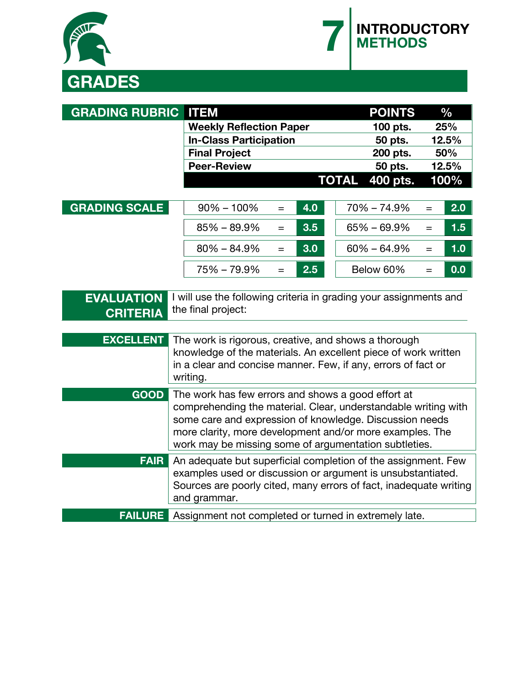



| <b>GRADING RUBRIC</b>                                    | <b>ITEM</b>                                                                                                                                                                                                                                                                                          | <b>POINTS</b><br>$\frac{0}{0}$   |
|----------------------------------------------------------|------------------------------------------------------------------------------------------------------------------------------------------------------------------------------------------------------------------------------------------------------------------------------------------------------|----------------------------------|
|                                                          | <b>Weekly Reflection Paper</b>                                                                                                                                                                                                                                                                       | 100 pts.<br>25%                  |
|                                                          | <b>In-Class Participation</b>                                                                                                                                                                                                                                                                        | 50 pts.<br>12.5%                 |
|                                                          | <b>Final Project</b>                                                                                                                                                                                                                                                                                 | 200 pts.<br>50%                  |
|                                                          | <b>Peer-Review</b>                                                                                                                                                                                                                                                                                   | 50 pts.<br>12.5%                 |
|                                                          |                                                                                                                                                                                                                                                                                                      | <b>TOTAL</b><br>400 pts.<br>100% |
| <b>GRADING SCALE</b>                                     | $90\% - 100\%$<br>4.0<br>$=$                                                                                                                                                                                                                                                                         | $70\% - 74.9\%$<br>2.0<br>$=$    |
|                                                          | 3.5<br>$85\% - 89.9\%$<br>$=$                                                                                                                                                                                                                                                                        | 1.5<br>$65\% - 69.9\%$<br>$=$    |
|                                                          | 3.0<br>$80\% - 84.9\%$<br>$=$                                                                                                                                                                                                                                                                        | 1.0<br>$60\% - 64.9\%$<br>$=$    |
|                                                          | 75% - 79.9%<br>2.5<br>$=$                                                                                                                                                                                                                                                                            | Below 60%<br>0.0<br>$=$          |
| <b>EVALUATION</b><br><b>CRITERIA</b><br><b>EXCELLENT</b> | I will use the following criteria in grading your assignments and<br>the final project:<br>The work is rigorous, creative, and shows a thorough<br>knowledge of the materials. An excellent piece of work written<br>in a clear and concise manner. Few, if any, errors of fact or<br>writing.       |                                  |
| <b>GOOD</b>                                              | The work has few errors and shows a good effort at<br>comprehending the material. Clear, understandable writing with<br>some care and expression of knowledge. Discussion needs<br>more clarity, more development and/or more examples. The<br>work may be missing some of argumentation subtleties. |                                  |
| <b>FAIR</b>                                              | An adequate but superficial completion of the assignment. Few<br>examples used or discussion or argument is unsubstantiated.<br>Sources are poorly cited, many errors of fact, inadequate writing<br>and grammar.                                                                                    |                                  |
| <b>FAILURE</b>                                           | Assignment not completed or turned in extremely late.                                                                                                                                                                                                                                                |                                  |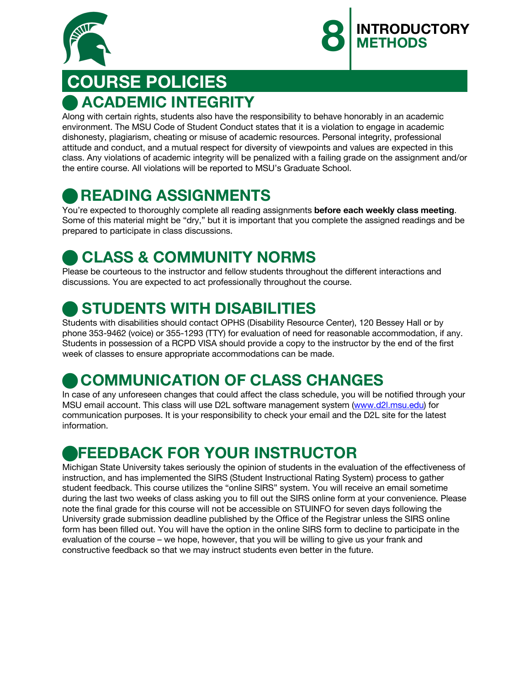



## **COURSE POLICIES**  n **ACADEMIC INTEGRITY**

Along with certain rights, students also have the responsibility to behave honorably in an academic environment. The MSU Code of Student Conduct states that it is a violation to engage in academic dishonesty, plagiarism, cheating or misuse of academic resources. Personal integrity, professional attitude and conduct, and a mutual respect for diversity of viewpoints and values are expected in this class. Any violations of academic integrity will be penalized with a failing grade on the assignment and/or the entire course. All violations will be reported to MSU's Graduate School.

### n **READING ASSIGNMENTS**

You're expected to thoroughly complete all reading assignments **before each weekly class meeting**. Some of this material might be "dry," but it is important that you complete the assigned readings and be prepared to participate in class discussions.

### **CLASS & COMMUNITY NORMS**

Please be courteous to the instructor and fellow students throughout the different interactions and discussions. You are expected to act professionally throughout the course.

### **STUDENTS WITH DISABILITIES**

Students with disabilities should contact OPHS (Disability Resource Center), 120 Bessey Hall or by phone 353-9462 (voice) or 355-1293 (TTY) for evaluation of need for reasonable accommodation, if any. Students in possession of a RCPD VISA should provide a copy to the instructor by the end of the first week of classes to ensure appropriate accommodations can be made.

### **COMMUNICATION OF CLASS CHANGES**

In case of any unforeseen changes that could affect the class schedule, you will be notified through your MSU email account. This class will use D2L software management system (www.d2l.msu.edu) for communication purposes. It is your responsibility to check your email and the D2L site for the latest information.

### n**FEEDBACK FOR YOUR INSTRUCTOR**

Michigan State University takes seriously the opinion of students in the evaluation of the effectiveness of instruction, and has implemented the SIRS (Student Instructional Rating System) process to gather student feedback. This course utilizes the "online SIRS" system. You will receive an email sometime during the last two weeks of class asking you to fill out the SIRS online form at your convenience. Please note the final grade for this course will not be accessible on STUINFO for seven days following the University grade submission deadline published by the Office of the Registrar unless the SIRS online form has been filled out. You will have the option in the online SIRS form to decline to participate in the evaluation of the course – we hope, however, that you will be willing to give us your frank and constructive feedback so that we may instruct students even better in the future.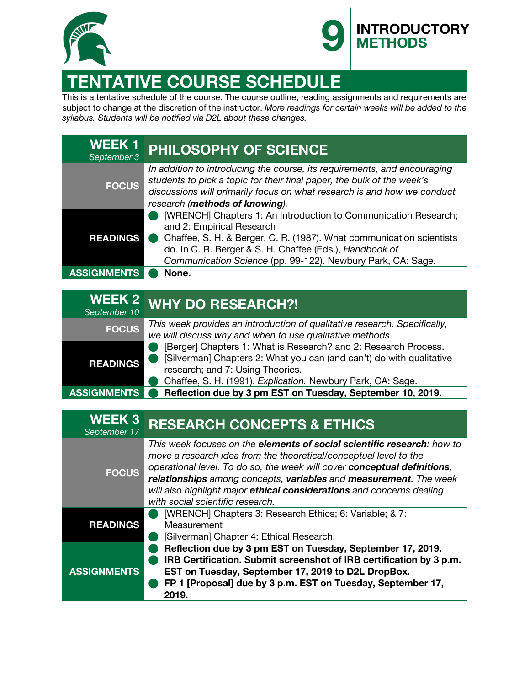



## **TENTATIVE COURSE SCHEDULE**

This is a tentative schedule of the course. The course outline, reading assignments and requirements are subject to change at the discretion of the instructor. *More readings for certain weeks will be added to the syllabus. Students will be notified via D2L about these changes.* 

| <b>WEEK1</b><br>September 3 | <b>PHILOSOPHY OF SCIENCE</b>                                                                                                                                                                                                                                                                   |
|-----------------------------|------------------------------------------------------------------------------------------------------------------------------------------------------------------------------------------------------------------------------------------------------------------------------------------------|
| <b>FOCUS</b>                | In addition to introducing the course, its requirements, and encouraging<br>students to pick a topic for their final paper, the bulk of the week's<br>discussions will primarily focus on what research is and how we conduct<br>research (methods of knowing).                                |
| <b>READINGS</b>             | [WRENCH] Chapters 1: An Introduction to Communication Research;<br>and 2: Empirical Research<br>Chaffee, S. H. & Berger, C. R. (1987). What communication scientists<br>do. In C. R. Berger & S. H. Chaffee (Eds.), Handbook of<br>Communication Science (pp. 99-122). Newbury Park, CA: Sage. |
| <b>ASSIGNMENTS</b>          | None.                                                                                                                                                                                                                                                                                          |

| September 10       | WEEK 2 WHY DO RESEARCH?!                                                                                                                                                                                                                   |
|--------------------|--------------------------------------------------------------------------------------------------------------------------------------------------------------------------------------------------------------------------------------------|
| <b>FOCUS</b>       | This week provides an introduction of qualitative research. Specifically,<br>we will discuss why and when to use qualitative methods                                                                                                       |
| <b>READINGS</b>    | [Berger] Chapters 1: What is Research? and 2: Research Process.<br>[Silverman] Chapters 2: What you can (and can't) do with qualitative<br>research; and 7: Using Theories.<br>Chaffee, S. H. (1991). Explication. Newbury Park, CA: Sage. |
| <b>ASSIGNMENTS</b> | Reflection due by 3 pm EST on Tuesday, September 10, 2019.                                                                                                                                                                                 |

| <b>WEEK3</b><br>September 17 | <b>RESEARCH CONCEPTS &amp; ETHICS</b>                                                                                                                                                                                                                                                                                                                                                                              |
|------------------------------|--------------------------------------------------------------------------------------------------------------------------------------------------------------------------------------------------------------------------------------------------------------------------------------------------------------------------------------------------------------------------------------------------------------------|
| <b>FOCUS</b>                 | This week focuses on the <b>elements of social scientific research</b> : how to<br>move a research idea from the theoretical/conceptual level to the<br>operational level. To do so, the week will cover conceptual definitions,<br>relationships among concepts, variables and measurement. The week<br>will also highlight major ethical considerations and concerns dealing<br>with social scientific research. |
| <b>READINGS</b>              | [WRENCH] Chapters 3: Research Ethics; 6: Variable; & 7:<br>Measurement<br>[Silverman] Chapter 4: Ethical Research.                                                                                                                                                                                                                                                                                                 |
| <b>ASSIGNMENTS</b>           | Reflection due by 3 pm EST on Tuesday, September 17, 2019.<br>IRB Certification. Submit screenshot of IRB certification by 3 p.m.<br>EST on Tuesday, September 17, 2019 to D2L DropBox.<br>FP 1 [Proposal] due by 3 p.m. EST on Tuesday, September 17,<br>2019.                                                                                                                                                    |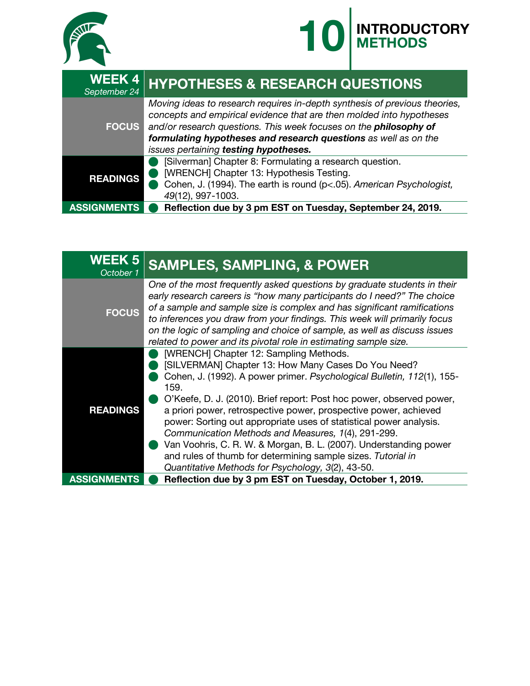



| <b>WEEK4</b><br>September 24 | <b>HYPOTHESES &amp; RESEARCH QUESTIONS</b>                                                                                                                                                                                                                                                                                          |  |
|------------------------------|-------------------------------------------------------------------------------------------------------------------------------------------------------------------------------------------------------------------------------------------------------------------------------------------------------------------------------------|--|
| <b>FOCUS</b>                 | Moving ideas to research requires in-depth synthesis of previous theories,<br>concepts and empirical evidence that are then molded into hypotheses<br>and/or research questions. This week focuses on the philosophy of<br>formulating hypotheses and research questions as well as on the<br>issues pertaining testing hypotheses. |  |
| <b>READINGS</b>              | [Silverman] Chapter 8: Formulating a research question.<br>[WRENCH] Chapter 13: Hypothesis Testing.<br>Cohen, J. (1994). The earth is round (p<.05). American Psychologist,<br>49(12), 997-1003.                                                                                                                                    |  |
| <b>ASSIGNMENTS</b>           | Reflection due by 3 pm EST on Tuesday, September 24, 2019.                                                                                                                                                                                                                                                                          |  |

| <b>WEEK 5</b><br>October 1 | <b>SAMPLES, SAMPLING, &amp; POWER</b>                                                                                                                                                                                                                                                                                                                                                                                                                                                                                                                                                                                                             |
|----------------------------|---------------------------------------------------------------------------------------------------------------------------------------------------------------------------------------------------------------------------------------------------------------------------------------------------------------------------------------------------------------------------------------------------------------------------------------------------------------------------------------------------------------------------------------------------------------------------------------------------------------------------------------------------|
| <b>FOCUS</b>               | One of the most frequently asked questions by graduate students in their<br>early research careers is "how many participants do I need?" The choice<br>of a sample and sample size is complex and has significant ramifications<br>to inferences you draw from your findings. This week will primarily focus<br>on the logic of sampling and choice of sample, as well as discuss issues<br>related to power and its pivotal role in estimating sample size.                                                                                                                                                                                      |
| <b>READINGS</b>            | [WRENCH] Chapter 12: Sampling Methods.<br>[SILVERMAN] Chapter 13: How Many Cases Do You Need?<br>Cohen, J. (1992). A power primer. Psychological Bulletin, 112(1), 155-<br>159.<br>O'Keefe, D. J. (2010). Brief report: Post hoc power, observed power,<br>a priori power, retrospective power, prospective power, achieved<br>power: Sorting out appropriate uses of statistical power analysis.<br>Communication Methods and Measures, 1(4), 291-299.<br>Van Voohris, C. R. W. & Morgan, B. L. (2007). Understanding power<br>and rules of thumb for determining sample sizes. Tutorial in<br>Quantitative Methods for Psychology, 3(2), 43-50. |
| <b>ASSIGNN</b>             | Reflection due by 3 pm EST on Tuesday, October 1, 2019.                                                                                                                                                                                                                                                                                                                                                                                                                                                                                                                                                                                           |
|                            |                                                                                                                                                                                                                                                                                                                                                                                                                                                                                                                                                                                                                                                   |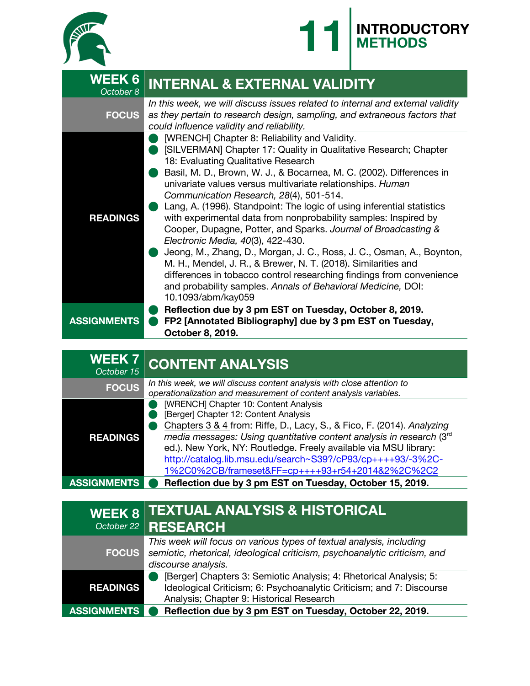



| <b>WEEK 6</b><br>October 8 | <b>INTERNAL &amp; EXTERNAL VALIDITY</b>                                                                                                                                                                                                                                                                                                                                                                                                                                                                                                                                                                                                                                                                                                                                                                                                                                                                |
|----------------------------|--------------------------------------------------------------------------------------------------------------------------------------------------------------------------------------------------------------------------------------------------------------------------------------------------------------------------------------------------------------------------------------------------------------------------------------------------------------------------------------------------------------------------------------------------------------------------------------------------------------------------------------------------------------------------------------------------------------------------------------------------------------------------------------------------------------------------------------------------------------------------------------------------------|
| <b>FOCUS</b>               | In this week, we will discuss issues related to internal and external validity<br>as they pertain to research design, sampling, and extraneous factors that<br>could influence validity and reliability.                                                                                                                                                                                                                                                                                                                                                                                                                                                                                                                                                                                                                                                                                               |
| <b>READINGS</b>            | [WRENCH] Chapter 8: Reliability and Validity.<br>[SILVERMAN] Chapter 17: Quality in Qualitative Research; Chapter<br>18: Evaluating Qualitative Research<br>Basil, M. D., Brown, W. J., & Bocarnea, M. C. (2002). Differences in<br>univariate values versus multivariate relationships. Human<br>Communication Research, 28(4), 501-514.<br>Lang, A. (1996). Standpoint: The logic of using inferential statistics<br>with experimental data from nonprobability samples: Inspired by<br>Cooper, Dupagne, Potter, and Sparks. Journal of Broadcasting &<br>Electronic Media, 40(3), 422-430.<br>Jeong, M., Zhang, D., Morgan, J. C., Ross, J. C., Osman, A., Boynton,<br>M. H., Mendel, J. R., & Brewer, N. T. (2018). Similarities and<br>differences in tobacco control researching findings from convenience<br>and probability samples. Annals of Behavioral Medicine, DOI:<br>10.1093/abm/kay059 |
| <b>ASSIGNMENTS</b>         | Reflection due by 3 pm EST on Tuesday, October 8, 2019.<br>FP2 [Annotated Bibliography] due by 3 pm EST on Tuesday,<br>October 8, 2019.                                                                                                                                                                                                                                                                                                                                                                                                                                                                                                                                                                                                                                                                                                                                                                |

| <b>WEEK7</b><br>October 15 | <b>CONTENT ANALYSIS</b>                                                                                                                                                                                                                                                                                                                                                                                                 |
|----------------------------|-------------------------------------------------------------------------------------------------------------------------------------------------------------------------------------------------------------------------------------------------------------------------------------------------------------------------------------------------------------------------------------------------------------------------|
| <b>FOCUS</b>               | In this week, we will discuss content analysis with close attention to<br>operationalization and measurement of content analysis variables.                                                                                                                                                                                                                                                                             |
| <b>READINGS</b>            | [WRENCH] Chapter 10: Content Analysis<br>[Berger] Chapter 12: Content Analysis<br>Chapters 3 & 4 from: Riffe, D., Lacy, S., & Fico, F. (2014). Analyzing<br>media messages: Using quantitative content analysis in research (3rd<br>ed.). New York, NY: Routledge. Freely available via MSU library:<br>http://catalog.lib.msu.edu/search~S39?/cP93/cp++++93/-3%2C-<br>1%2C0%2CB/frameset&FF=cp++++93+r54+2014&2%2C%2C2 |
| <b>ASSIGNMENTS</b>         | Reflection due by 3 pm EST on Tuesday, October 15, 2019.                                                                                                                                                                                                                                                                                                                                                                |

| <b>WEEK 8</b>      | <b>TEXTUAL ANALYSIS &amp; HISTORICAL</b><br>October 22 RESEARCH                                                                                                                        |
|--------------------|----------------------------------------------------------------------------------------------------------------------------------------------------------------------------------------|
| <b>FOCUS</b>       | This week will focus on various types of textual analysis, including<br>semiotic, rhetorical, ideological criticism, psychoanalytic criticism, and<br>discourse analysis.              |
| <b>READINGS</b>    | [Berger] Chapters 3: Semiotic Analysis; 4: Rhetorical Analysis; 5:<br>Ideological Criticism; 6: Psychoanalytic Criticism; and 7: Discourse<br>Analysis; Chapter 9: Historical Research |
| <b>ASSIGNMENTS</b> | Reflection due by 3 pm EST on Tuesday, October 22, 2019.                                                                                                                               |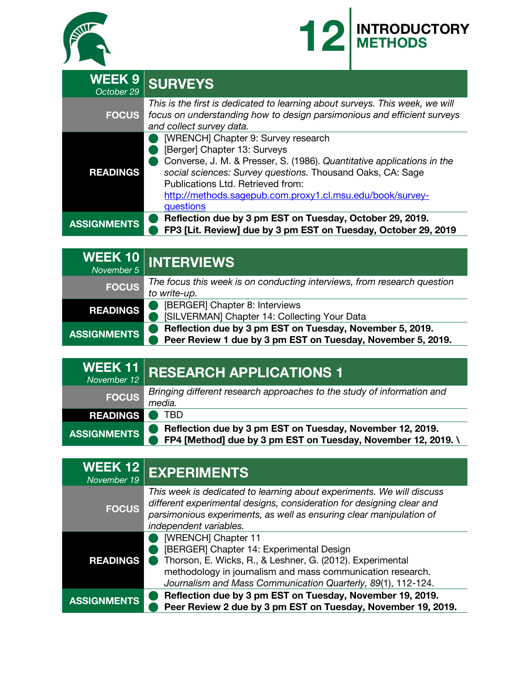



| <b>WEEK 9</b><br>October 29 | <b>SURVEYS</b>                                                                                                                                                                                                                                                                                                             |
|-----------------------------|----------------------------------------------------------------------------------------------------------------------------------------------------------------------------------------------------------------------------------------------------------------------------------------------------------------------------|
| <b>FOCUS</b>                | This is the first is dedicated to learning about surveys. This week, we will<br>focus on understanding how to design parsimonious and efficient surveys<br>and collect survey data.                                                                                                                                        |
| <b>READINGS</b>             | [WRENCH] Chapter 9: Survey research<br>[Berger] Chapter 13: Surveys<br>Converse, J. M. & Presser, S. (1986). Quantitative applications in the<br>social sciences: Survey questions. Thousand Oaks, CA: Sage<br>Publications Ltd. Retrieved from:<br>http://methods.sagepub.com.proxy1.cl.msu.edu/book/survey-<br>questions |
| <b>ASSIGNMENTS</b>          | Reflection due by 3 pm EST on Tuesday, October 29, 2019.<br>FP3 [Lit. Review] due by 3 pm EST on Tuesday, October 29, 2019                                                                                                                                                                                                 |

| November 5         | WEEK 10 INTERVIEWS                                                                                                      |
|--------------------|-------------------------------------------------------------------------------------------------------------------------|
| <b>FOCUS</b>       | The focus this week is on conducting interviews, from research question<br>to write-up.                                 |
| <b>READINGS</b>    | [BERGER] Chapter 8: Interviews<br>[SILVERMAN] Chapter 14: Collecting Your Data                                          |
| <b>ASSIGNMENTS</b> | Reflection due by 3 pm EST on Tuesday, November 5, 2019.<br>Peer Review 1 due by 3 pm EST on Tuesday, November 5, 2019. |

| $WEEK 11$<br>November 12 | <b>RESEARCH APPLICATIONS 1</b>                                                                                             |
|--------------------------|----------------------------------------------------------------------------------------------------------------------------|
| <b>FOCUS</b>             | Bringing different research approaches to the study of information and<br>media.                                           |
| <b>READINGS</b>          | TRD                                                                                                                        |
| <b>ASSIGNMENTS</b>       | Reflection due by 3 pm EST on Tuesday, November 12, 2019.<br>FP4 [Method] due by 3 pm EST on Tuesday, November 12, 2019. \ |

| <b>WEEK12</b><br>November 19 | <b>EXPERIMENTS</b>                                                                                                                                                                                                                                         |
|------------------------------|------------------------------------------------------------------------------------------------------------------------------------------------------------------------------------------------------------------------------------------------------------|
| <b>FOCUS</b>                 | This week is dedicated to learning about experiments. We will discuss<br>different experimental designs, consideration for designing clear and<br>parsimonious experiments, as well as ensuring clear manipulation of<br>independent variables.            |
| <b>READINGS</b>              | [WRENCH] Chapter 11<br>[BERGER] Chapter 14: Experimental Design<br>Thorson, E. Wicks, R., & Leshner, G. (2012). Experimental<br>methodology in journalism and mass communication research.<br>Journalism and Mass Communication Quarterly, 89(1), 112-124. |
| <b>ASSIGNMENTS</b>           | Reflection due by 3 pm EST on Tuesday, November 19, 2019.<br>Peer Review 2 due by 3 pm EST on Tuesday, November 19, 2019.                                                                                                                                  |